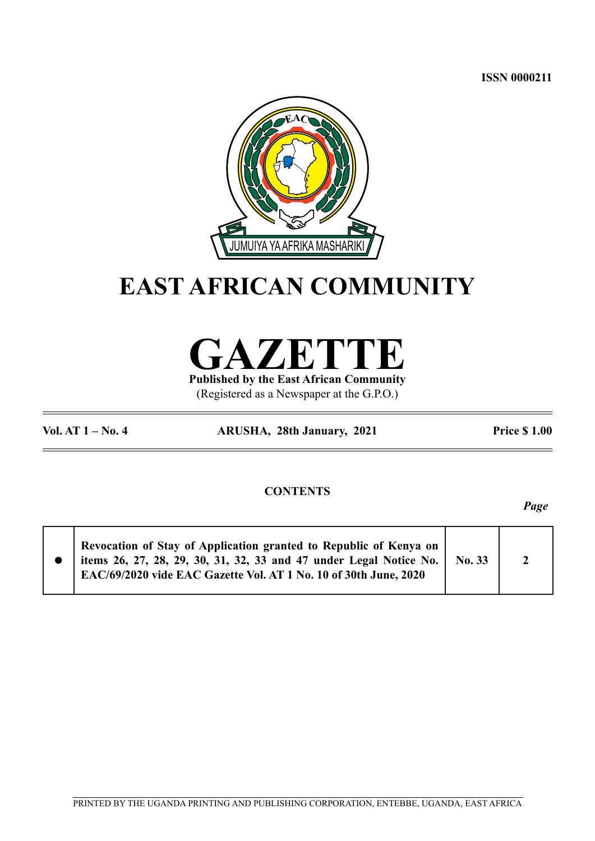**ISSN 0000211**



## **EAST AFRICAN COMMUNITY**

**GAZETTE**

**Published by the East African Community** (Registered as a Newspaper at the G.P.O.)

**Vol. AT 1 – No. 4 ARUSHA, 28th January, 2021 Price \$ 1.00**

## **CONTENTS**

*Page*

|  | Revocation of Stay of Application granted to Republic of Kenya on<br>items 26, 27, 28, 29, 30, 31, 32, 33 and 47 under Legal Notice No.   No. 33<br>EAC/69/2020 vide EAC Gazette Vol. AT 1 No. 10 of 30th June, 2020 |  |  |  |
|--|----------------------------------------------------------------------------------------------------------------------------------------------------------------------------------------------------------------------|--|--|--|
|--|----------------------------------------------------------------------------------------------------------------------------------------------------------------------------------------------------------------------|--|--|--|